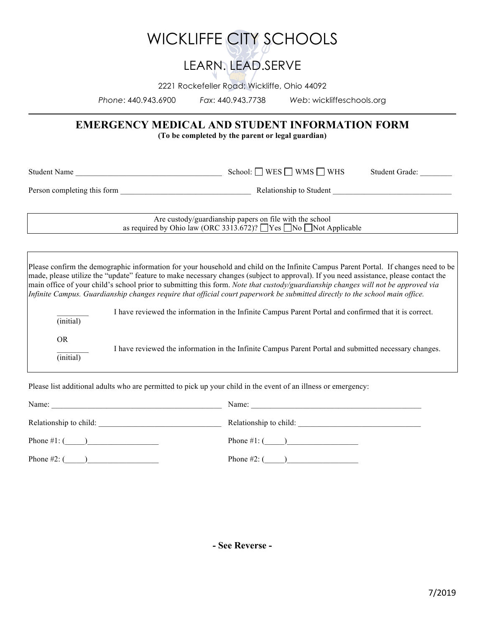## WICKLIFFE CITY SCHOOLS

### LEARN. LEAD.SERVE

2221 Rockefeller Road; Wickliffe, Ohio 44092

*Phone*: 440.943.6900 *Fax*: 440.943.7738 *Web*: wickliffeschools.org

### **EMERGENCY MEDICAL AND STUDENT INFORMATION FORM**

**(To be completed by the parent or legal guardian)**

Student Name School: WES WMS WHS Student Grade:

Person completing this form  $\Box$  Relationship to Student  $\Box$ 

Are custody/guardianship papers on file with the school as required by Ohio law (ORC 3313.672)?  $\Box$  Yes  $\Box$  No  $\Box$  Not Applicable

Please confirm the demographic information for your household and child on the Infinite Campus Parent Portal. If changes need to be made, please utilize the "update" feature to make necessary changes (subject to approval). If you need assistance, please contact the main office of your child's school prior to submitting this form. *Note that custody/guardianship changes will not be approved via Infinite Campus. Guardianship changes require that official court paperwork be submitted directly to the school main office.*

\_\_\_\_\_\_\_\_ I have reviewed the information in the Infinite Campus Parent Portal and confirmed that it is correct.

(initial)

OR

\_\_\_\_\_\_\_\_ I have reviewed the information in the Infinite Campus Parent Portal and submitted necessary changes.

(initial)

Please list additional adults who are permitted to pick up your child in the event of an illness or emergency:

| Name:                  | Name:                  |  |
|------------------------|------------------------|--|
| Relationship to child: | Relationship to child: |  |
| Phone $\#1$ : ()       |                        |  |
| Phone $#2$ : (         | Phone $\#2$ : (        |  |

**- See Reverse -**